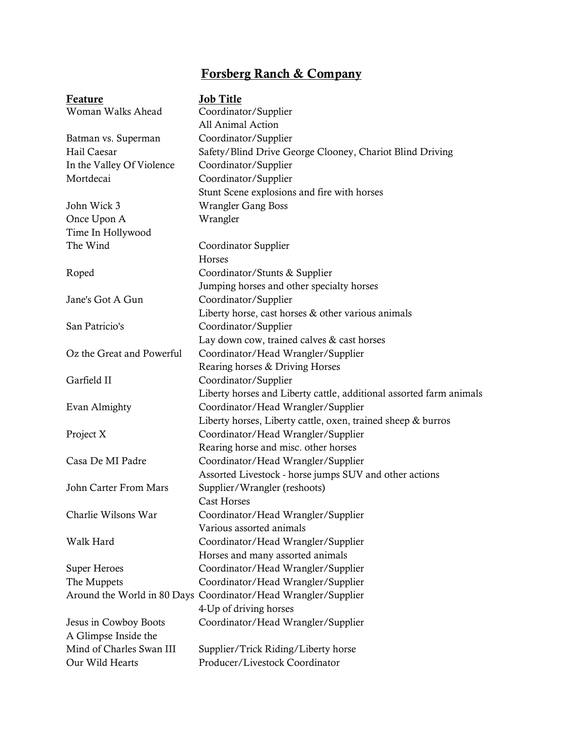## Forsberg Ranch & Company

| <b>Feature</b>            | <b>Job Title</b>                                                    |
|---------------------------|---------------------------------------------------------------------|
| Woman Walks Ahead         | Coordinator/Supplier                                                |
|                           | All Animal Action                                                   |
| Batman vs. Superman       | Coordinator/Supplier                                                |
| Hail Caesar               | Safety/Blind Drive George Clooney, Chariot Blind Driving            |
| In the Valley Of Violence | Coordinator/Supplier                                                |
| Mortdecai                 | Coordinator/Supplier                                                |
|                           | Stunt Scene explosions and fire with horses                         |
| John Wick 3               | <b>Wrangler Gang Boss</b>                                           |
| Once Upon A               | Wrangler                                                            |
| Time In Hollywood         |                                                                     |
| The Wind                  | Coordinator Supplier                                                |
|                           | Horses                                                              |
| Roped                     | Coordinator/Stunts & Supplier                                       |
|                           | Jumping horses and other specialty horses                           |
| Jane's Got A Gun          | Coordinator/Supplier                                                |
|                           | Liberty horse, cast horses & other various animals                  |
| San Patricio's            | Coordinator/Supplier                                                |
|                           | Lay down cow, trained calves & cast horses                          |
| Oz the Great and Powerful | Coordinator/Head Wrangler/Supplier                                  |
|                           | Rearing horses & Driving Horses                                     |
| Garfield II               | Coordinator/Supplier                                                |
|                           | Liberty horses and Liberty cattle, additional assorted farm animals |
| Evan Almighty             | Coordinator/Head Wrangler/Supplier                                  |
|                           | Liberty horses, Liberty cattle, oxen, trained sheep & burros        |
| Project X                 | Coordinator/Head Wrangler/Supplier                                  |
|                           | Rearing horse and misc. other horses                                |
| Casa De MI Padre          | Coordinator/Head Wrangler/Supplier                                  |
|                           | Assorted Livestock - horse jumps SUV and other actions              |
| John Carter From Mars     | Supplier/Wrangler (reshoots)                                        |
|                           | Cast Horses                                                         |
| Charlie Wilsons War       | Coordinator/Head Wrangler/Supplier                                  |
|                           | Various assorted animals                                            |
| Walk Hard                 | Coordinator/Head Wrangler/Supplier                                  |
|                           | Horses and many assorted animals                                    |
| Super Heroes              | Coordinator/Head Wrangler/Supplier                                  |
| The Muppets               | Coordinator/Head Wrangler/Supplier                                  |
|                           | Around the World in 80 Days Coordinator/Head Wrangler/Supplier      |
|                           | 4-Up of driving horses                                              |
| Jesus in Cowboy Boots     | Coordinator/Head Wrangler/Supplier                                  |
| A Glimpse Inside the      |                                                                     |
| Mind of Charles Swan III  | Supplier/Trick Riding/Liberty horse                                 |
| Our Wild Hearts           | Producer/Livestock Coordinator                                      |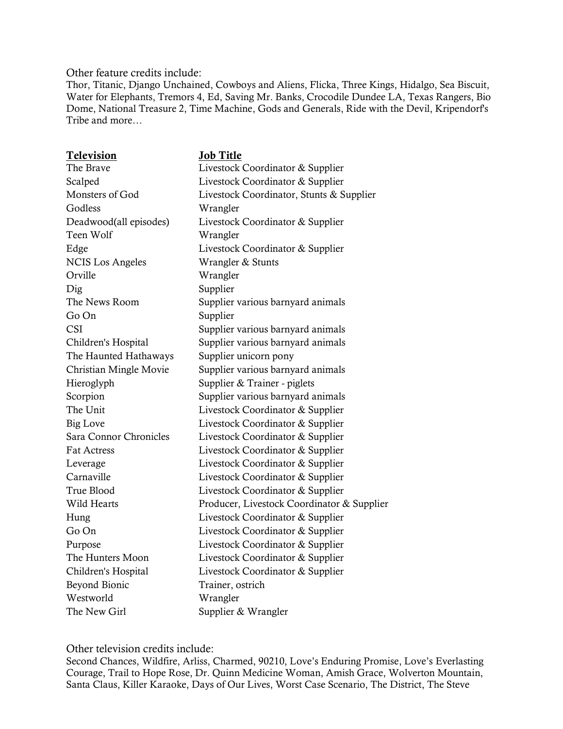Other feature credits include:

Thor, Titanic, Django Unchained, Cowboys and Aliens, Flicka, Three Kings, Hidalgo, Sea Biscuit, Water for Elephants, Tremors 4, Ed, Saving Mr. Banks, Crocodile Dundee LA, Texas Rangers, Bio Dome, National Treasure 2, Time Machine, Gods and Generals, Ride with the Devil, Kripendorf's Tribe and more…

| Television              | <b>Job Title</b>                           |
|-------------------------|--------------------------------------------|
| The Brave               | Livestock Coordinator & Supplier           |
| Scalped                 | Livestock Coordinator & Supplier           |
| Monsters of God         | Livestock Coordinator, Stunts & Supplier   |
| Godless                 | Wrangler                                   |
| Deadwood(all episodes)  | Livestock Coordinator & Supplier           |
| Teen Wolf               | Wrangler                                   |
| Edge                    | Livestock Coordinator & Supplier           |
| <b>NCIS Los Angeles</b> | Wrangler & Stunts                          |
| Orville                 | Wrangler                                   |
| Dig                     | Supplier                                   |
| The News Room           | Supplier various barnyard animals          |
| Go On                   | Supplier                                   |
| <b>CSI</b>              | Supplier various barnyard animals          |
| Children's Hospital     | Supplier various barnyard animals          |
| The Haunted Hathaways   | Supplier unicorn pony                      |
| Christian Mingle Movie  | Supplier various barnyard animals          |
| Hieroglyph              | Supplier & Trainer - piglets               |
| Scorpion                | Supplier various barnyard animals          |
| The Unit                | Livestock Coordinator & Supplier           |
| <b>Big Love</b>         | Livestock Coordinator & Supplier           |
| Sara Connor Chronicles  | Livestock Coordinator & Supplier           |
| <b>Fat Actress</b>      | Livestock Coordinator & Supplier           |
| Leverage                | Livestock Coordinator & Supplier           |
| Carnaville              | Livestock Coordinator & Supplier           |
| True Blood              | Livestock Coordinator & Supplier           |
| Wild Hearts             | Producer, Livestock Coordinator & Supplier |
| Hung                    | Livestock Coordinator & Supplier           |
| Go On                   | Livestock Coordinator & Supplier           |
| Purpose                 | Livestock Coordinator & Supplier           |
| The Hunters Moon        | Livestock Coordinator & Supplier           |
| Children's Hospital     | Livestock Coordinator & Supplier           |
| Beyond Bionic           | Trainer, ostrich                           |
| Westworld               | Wrangler                                   |
| The New Girl            | Supplier & Wrangler                        |

Other television credits include:

Second Chances, Wildfire, Arliss, Charmed, 90210, Love's Enduring Promise, Love's Everlasting Courage, Trail to Hope Rose, Dr. Quinn Medicine Woman, Amish Grace, Wolverton Mountain, Santa Claus, Killer Karaoke, Days of Our Lives, Worst Case Scenario, The District, The Steve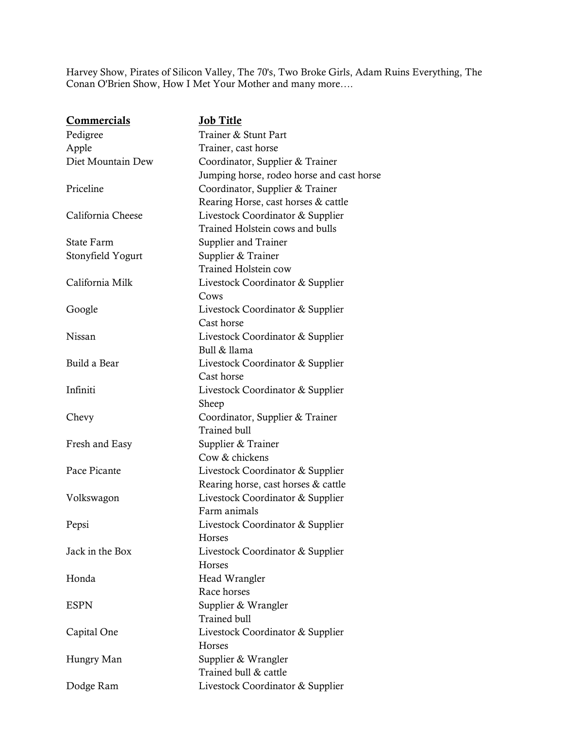Harvey Show, Pirates of Silicon Valley, The 70's, Two Broke Girls, Adam Ruins Everything, The Conan O'Brien Show, How I Met Your Mother and many more….

| <b>Commercials</b> | <b>Job Title</b>                          |
|--------------------|-------------------------------------------|
| Pedigree           | Trainer & Stunt Part                      |
| Apple              | Trainer, cast horse                       |
| Diet Mountain Dew  | Coordinator, Supplier & Trainer           |
|                    | Jumping horse, rodeo horse and cast horse |
| Priceline          | Coordinator, Supplier & Trainer           |
|                    | Rearing Horse, cast horses & cattle       |
| California Cheese  | Livestock Coordinator & Supplier          |
|                    | Trained Holstein cows and bulls           |
| State Farm         | Supplier and Trainer                      |
| Stonyfield Yogurt  | Supplier & Trainer                        |
|                    | <b>Trained Holstein cow</b>               |
| California Milk    | Livestock Coordinator & Supplier          |
|                    | Cows                                      |
| Google             | Livestock Coordinator & Supplier          |
|                    | Cast horse                                |
| Nissan             | Livestock Coordinator & Supplier          |
|                    | Bull & llama                              |
| Build a Bear       | Livestock Coordinator & Supplier          |
|                    | Cast horse                                |
| Infiniti           | Livestock Coordinator & Supplier          |
|                    | Sheep                                     |
| Chevy              | Coordinator, Supplier & Trainer           |
|                    | Trained bull                              |
| Fresh and Easy     | Supplier & Trainer                        |
|                    | Cow & chickens                            |
| Pace Picante       | Livestock Coordinator & Supplier          |
|                    | Rearing horse, cast horses & cattle       |
| Volkswagon         | Livestock Coordinator & Supplier          |
|                    | Farm animals                              |
| Pepsi              | Livestock Coordinator & Supplier          |
|                    | Horses                                    |
| Jack in the Box    | Livestock Coordinator & Supplier          |
|                    | Horses                                    |
| Honda              | Head Wrangler                             |
|                    | Race horses                               |
| <b>ESPN</b>        | Supplier & Wrangler                       |
|                    | <b>Trained bull</b>                       |
| Capital One        | Livestock Coordinator & Supplier          |
|                    | <b>Horses</b>                             |
| Hungry Man         | Supplier & Wrangler                       |
|                    | Trained bull & cattle                     |
| Dodge Ram          | Livestock Coordinator & Supplier          |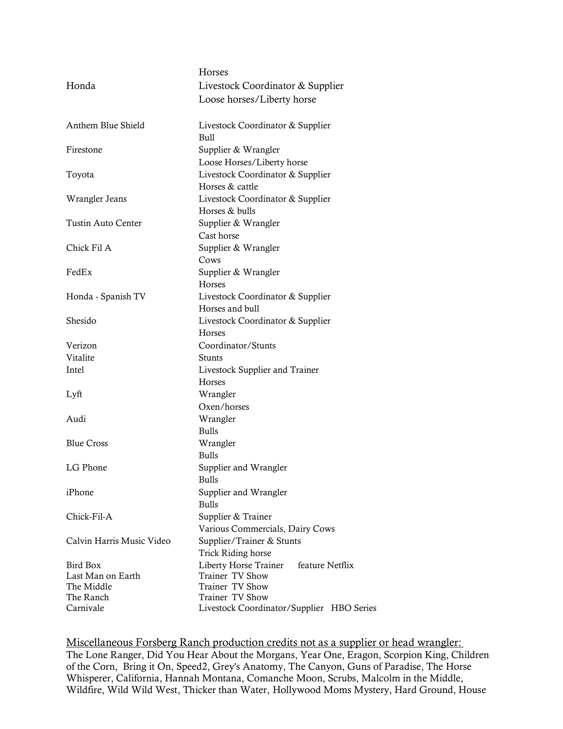|                           | <b>Horses</b>                             |
|---------------------------|-------------------------------------------|
| Honda                     | Livestock Coordinator & Supplier          |
|                           | Loose horses/Liberty horse                |
| Anthem Blue Shield        | Livestock Coordinator & Supplier          |
|                           | Bull                                      |
| Firestone                 | Supplier & Wrangler                       |
|                           | Loose Horses/Liberty horse                |
| Toyota                    | Livestock Coordinator & Supplier          |
|                           | Horses & cattle                           |
| Wrangler Jeans            | Livestock Coordinator & Supplier          |
|                           | Horses & bulls                            |
| <b>Tustin Auto Center</b> | Supplier & Wrangler                       |
|                           | Cast horse                                |
| Chick Fil A               | Supplier & Wrangler                       |
|                           | Cows                                      |
| FedEx                     | Supplier & Wrangler                       |
|                           | <b>Horses</b>                             |
| Honda - Spanish TV        | Livestock Coordinator & Supplier          |
|                           | Horses and bull                           |
| Shesido                   | Livestock Coordinator & Supplier          |
|                           | <b>Horses</b>                             |
| Verizon                   | Coordinator/Stunts                        |
| Vitalite                  | Stunts                                    |
| Intel                     | Livestock Supplier and Trainer            |
|                           | Horses                                    |
| Lyft                      | Wrangler                                  |
|                           | Oxen/horses                               |
| Audi                      | Wrangler                                  |
|                           | <b>Bulls</b>                              |
| <b>Blue Cross</b>         | Wrangler                                  |
|                           | <b>Bulls</b>                              |
| LG Phone                  | Supplier and Wrangler                     |
|                           | Bulls                                     |
| iPhone                    | Supplier and Wrangler                     |
|                           | <b>Bulls</b>                              |
| Chick-Fil-A               | Supplier & Trainer                        |
|                           | Various Commercials, Dairy Cows           |
| Calvin Harris Music Video | Supplier/Trainer & Stunts                 |
|                           | <b>Trick Riding horse</b>                 |
| Bird Box                  | Liberty Horse Trainer<br>feature Netflix  |
| Last Man on Earth         | Trainer TV Show                           |
| The Middle                | Trainer TV Show                           |
| The Ranch                 | Trainer TV Show                           |
| Carnivale                 | Livestock Coordinator/Supplier HBO Series |

Miscellaneous Forsberg Ranch production credits not as a supplier or head wrangler: The Lone Ranger, Did You Hear About the Morgans, Year One, Eragon, Scorpion King, Children of the Corn, Bring it On, Speed2, Grey's Anatomy, The Canyon, Guns of Paradise, The Horse Whisperer, California, Hannah Montana, Comanche Moon, Scrubs, Malcolm in the Middle, Wildfire, Wild Wild West, Thicker than Water, Hollywood Moms Mystery, Hard Ground, House